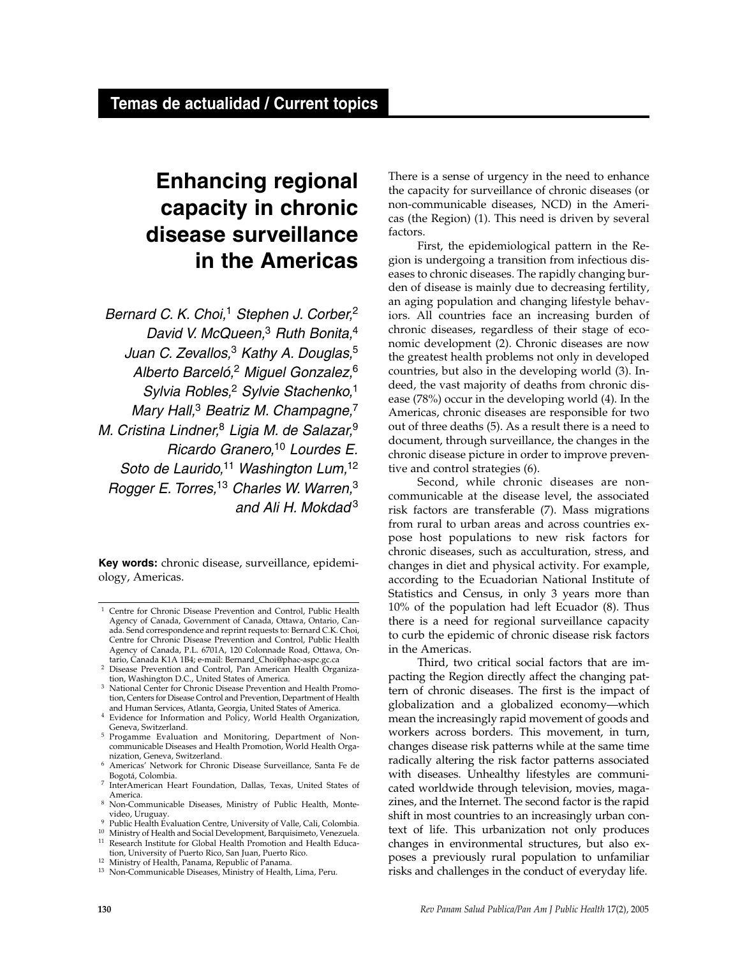# **Enhancing regional capacity in chronic disease surveillance in the Americas**

*Bernard C. K. Choi,*<sup>1</sup> *Stephen J. Corber,*<sup>2</sup> *David V. McQueen,*<sup>3</sup> *Ruth Bonita,*<sup>4</sup> *Juan C. Zevallos,*<sup>3</sup> *Kathy A. Douglas,*<sup>5</sup> *Alberto Barceló,*<sup>2</sup> *Miguel Gonzalez,*<sup>6</sup> *Sylvia Robles,*<sup>2</sup> *Sylvie Stachenko,*<sup>1</sup> *Mary Hall,*<sup>3</sup> *Beatriz M. Champagne,*<sup>7</sup> *M. Cristina Lindner,*<sup>8</sup> *Ligia M. de Salazar,*<sup>9</sup> *Ricardo Granero,*<sup>10</sup> *Lourdes E. Soto de Laurido,*<sup>11</sup> *Washington Lum,*<sup>12</sup> *Rogger E. Torres,*<sup>13</sup> *Charles W. Warren,*<sup>3</sup> *and Ali H. Mokdad* <sup>3</sup>

**Key words:** chronic disease, surveillance, epidemiology, Americas.

There is a sense of urgency in the need to enhance the capacity for surveillance of chronic diseases (or non-communicable diseases, NCD) in the Americas (the Region) (1). This need is driven by several factors.

First, the epidemiological pattern in the Region is undergoing a transition from infectious diseases to chronic diseases. The rapidly changing burden of disease is mainly due to decreasing fertility, an aging population and changing lifestyle behaviors. All countries face an increasing burden of chronic diseases, regardless of their stage of economic development (2). Chronic diseases are now the greatest health problems not only in developed countries, but also in the developing world (3). Indeed, the vast majority of deaths from chronic disease (78%) occur in the developing world (4). In the Americas, chronic diseases are responsible for two out of three deaths (5). As a result there is a need to document, through surveillance, the changes in the chronic disease picture in order to improve preventive and control strategies (6).

Second, while chronic diseases are noncommunicable at the disease level, the associated risk factors are transferable (7). Mass migrations from rural to urban areas and across countries expose host populations to new risk factors for chronic diseases, such as acculturation, stress, and changes in diet and physical activity. For example, according to the Ecuadorian National Institute of Statistics and Census, in only 3 years more than 10% of the population had left Ecuador (8). Thus there is a need for regional surveillance capacity to curb the epidemic of chronic disease risk factors in the Americas.

Third, two critical social factors that are impacting the Region directly affect the changing pattern of chronic diseases. The first is the impact of globalization and a globalized economy—which mean the increasingly rapid movement of goods and workers across borders. This movement, in turn, changes disease risk patterns while at the same time radically altering the risk factor patterns associated with diseases. Unhealthy lifestyles are communicated worldwide through television, movies, magazines, and the Internet. The second factor is the rapid shift in most countries to an increasingly urban context of life. This urbanization not only produces changes in environmental structures, but also exposes a previously rural population to unfamiliar risks and challenges in the conduct of everyday life.

<sup>1</sup> Centre for Chronic Disease Prevention and Control, Public Health Agency of Canada, Government of Canada, Ottawa, Ontario, Canada. Send correspondence and reprint requests to: Bernard C.K. Choi, Centre for Chronic Disease Prevention and Control, Public Health Agency of Canada, P.L. 6701A, 120 Colonnade Road, Ottawa, Ontario, Canada K1A 1B4; e-mail: Bernard\_Choi@phac-aspc.gc.ca

<sup>&</sup>lt;sup>2</sup> Disease Prevention and Control, Pan American Health Organization, Washington D.C., United States of America.

National Center for Chronic Disease Prevention and Health Promotion, Centers for Disease Control and Prevention, Department of Health and Human Services, Atlanta, Georgia, United States of America.

<sup>4</sup> Evidence for Information and Policy, World Health Organization, Geneva, Switzerland.

<sup>5</sup> Progamme Evaluation and Monitoring, Department of Noncommunicable Diseases and Health Promotion, World Health Organization, Geneva, Switzerland.

<sup>6</sup> Americas' Network for Chronic Disease Surveillance, Santa Fe de Bogotá, Colombia.

<sup>7</sup> InterAmerican Heart Foundation, Dallas, Texas, United States of America.

<sup>8</sup> Non-Communicable Diseases, Ministry of Public Health, Montevideo, Uruguay.

Public Health Evaluation Centre, University of Valle, Cali, Colombia.

<sup>&</sup>lt;sup>10</sup> Ministry of Health and Social Development, Barquisimeto, Venezuela.<br><sup>11</sup> Research Institute for Global Health Promotion and Health Educa-Research Institute for Global Health Promotion and Health Educa-

tion, University of Puerto Rico, San Juan, Puerto Rico.

<sup>12</sup> Ministry of Health, Panama, Republic of Panama.

<sup>13</sup> Non-Communicable Diseases, Ministry of Health, Lima, Peru.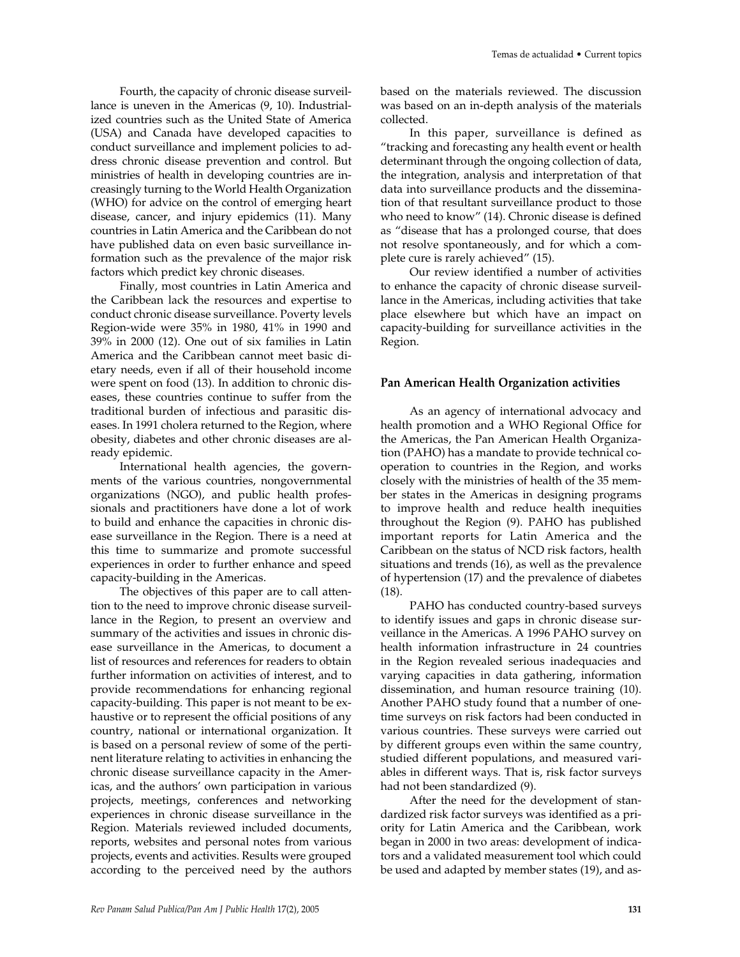Fourth, the capacity of chronic disease surveillance is uneven in the Americas (9, 10). Industrialized countries such as the United State of America (USA) and Canada have developed capacities to conduct surveillance and implement policies to address chronic disease prevention and control. But ministries of health in developing countries are increasingly turning to the World Health Organization (WHO) for advice on the control of emerging heart disease, cancer, and injury epidemics (11). Many countries in Latin America and the Caribbean do not have published data on even basic surveillance information such as the prevalence of the major risk factors which predict key chronic diseases.

Finally, most countries in Latin America and the Caribbean lack the resources and expertise to conduct chronic disease surveillance. Poverty levels Region-wide were 35% in 1980, 41% in 1990 and 39% in 2000 (12). One out of six families in Latin America and the Caribbean cannot meet basic dietary needs, even if all of their household income were spent on food (13). In addition to chronic diseases, these countries continue to suffer from the traditional burden of infectious and parasitic diseases. In 1991 cholera returned to the Region, where obesity, diabetes and other chronic diseases are already epidemic.

International health agencies, the governments of the various countries, nongovernmental organizations (NGO), and public health professionals and practitioners have done a lot of work to build and enhance the capacities in chronic disease surveillance in the Region. There is a need at this time to summarize and promote successful experiences in order to further enhance and speed capacity-building in the Americas.

The objectives of this paper are to call attention to the need to improve chronic disease surveillance in the Region, to present an overview and summary of the activities and issues in chronic disease surveillance in the Americas, to document a list of resources and references for readers to obtain further information on activities of interest, and to provide recommendations for enhancing regional capacity-building. This paper is not meant to be exhaustive or to represent the official positions of any country, national or international organization. It is based on a personal review of some of the pertinent literature relating to activities in enhancing the chronic disease surveillance capacity in the Americas, and the authors' own participation in various projects, meetings, conferences and networking experiences in chronic disease surveillance in the Region. Materials reviewed included documents, reports, websites and personal notes from various projects, events and activities. Results were grouped according to the perceived need by the authors

based on the materials reviewed. The discussion was based on an in-depth analysis of the materials collected.

In this paper, surveillance is defined as "tracking and forecasting any health event or health determinant through the ongoing collection of data, the integration, analysis and interpretation of that data into surveillance products and the dissemination of that resultant surveillance product to those who need to know" (14). Chronic disease is defined as "disease that has a prolonged course, that does not resolve spontaneously, and for which a complete cure is rarely achieved" (15).

Our review identified a number of activities to enhance the capacity of chronic disease surveillance in the Americas, including activities that take place elsewhere but which have an impact on capacity-building for surveillance activities in the Region.

#### **Pan American Health Organization activities**

As an agency of international advocacy and health promotion and a WHO Regional Office for the Americas, the Pan American Health Organization (PAHO) has a mandate to provide technical cooperation to countries in the Region, and works closely with the ministries of health of the 35 member states in the Americas in designing programs to improve health and reduce health inequities throughout the Region (9). PAHO has published important reports for Latin America and the Caribbean on the status of NCD risk factors, health situations and trends (16), as well as the prevalence of hypertension (17) and the prevalence of diabetes (18).

PAHO has conducted country-based surveys to identify issues and gaps in chronic disease surveillance in the Americas. A 1996 PAHO survey on health information infrastructure in 24 countries in the Region revealed serious inadequacies and varying capacities in data gathering, information dissemination, and human resource training (10). Another PAHO study found that a number of onetime surveys on risk factors had been conducted in various countries. These surveys were carried out by different groups even within the same country, studied different populations, and measured variables in different ways. That is, risk factor surveys had not been standardized (9).

After the need for the development of standardized risk factor surveys was identified as a priority for Latin America and the Caribbean, work began in 2000 in two areas: development of indicators and a validated measurement tool which could be used and adapted by member states (19), and as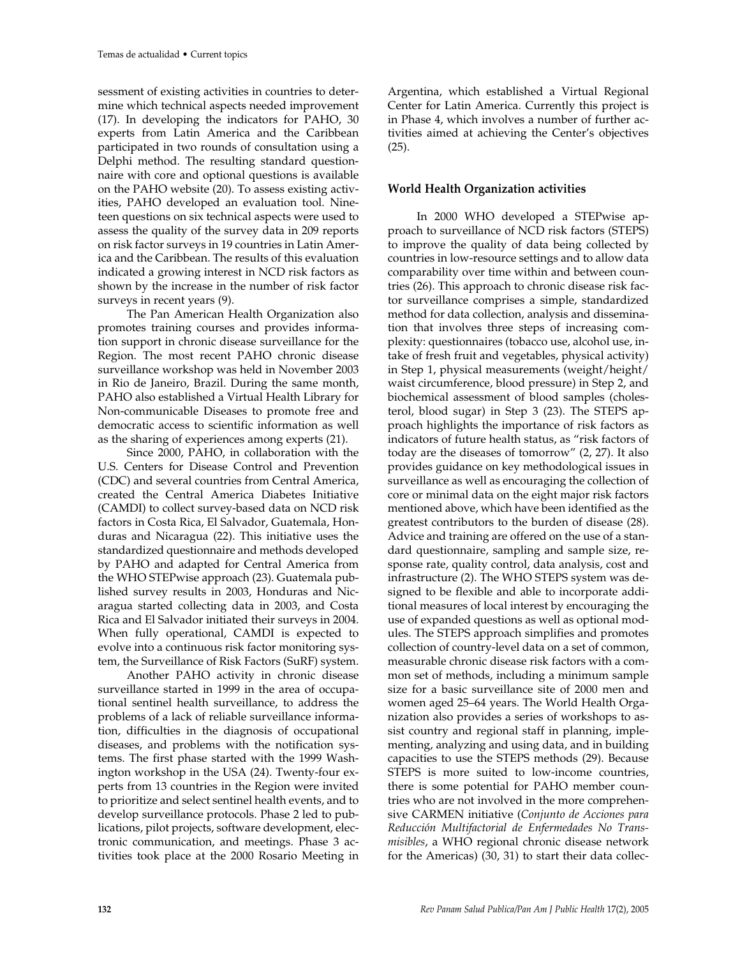sessment of existing activities in countries to determine which technical aspects needed improvement (17). In developing the indicators for PAHO, 30 experts from Latin America and the Caribbean participated in two rounds of consultation using a Delphi method. The resulting standard questionnaire with core and optional questions is available on the PAHO website (20). To assess existing activities, PAHO developed an evaluation tool. Nineteen questions on six technical aspects were used to assess the quality of the survey data in 209 reports on risk factor surveys in 19 countries in Latin America and the Caribbean. The results of this evaluation indicated a growing interest in NCD risk factors as shown by the increase in the number of risk factor surveys in recent years (9).

The Pan American Health Organization also promotes training courses and provides information support in chronic disease surveillance for the Region. The most recent PAHO chronic disease surveillance workshop was held in November 2003 in Rio de Janeiro, Brazil. During the same month, PAHO also established a Virtual Health Library for Non-communicable Diseases to promote free and democratic access to scientific information as well as the sharing of experiences among experts (21).

Since 2000, PAHO, in collaboration with the U.S. Centers for Disease Control and Prevention (CDC) and several countries from Central America, created the Central America Diabetes Initiative (CAMDI) to collect survey-based data on NCD risk factors in Costa Rica, El Salvador, Guatemala, Honduras and Nicaragua (22). This initiative uses the standardized questionnaire and methods developed by PAHO and adapted for Central America from the WHO STEPwise approach (23). Guatemala published survey results in 2003, Honduras and Nicaragua started collecting data in 2003, and Costa Rica and El Salvador initiated their surveys in 2004. When fully operational, CAMDI is expected to evolve into a continuous risk factor monitoring system, the Surveillance of Risk Factors (SuRF) system.

Another PAHO activity in chronic disease surveillance started in 1999 in the area of occupational sentinel health surveillance, to address the problems of a lack of reliable surveillance information, difficulties in the diagnosis of occupational diseases, and problems with the notification systems. The first phase started with the 1999 Washington workshop in the USA (24). Twenty-four experts from 13 countries in the Region were invited to prioritize and select sentinel health events, and to develop surveillance protocols. Phase 2 led to publications, pilot projects, software development, electronic communication, and meetings. Phase 3 activities took place at the 2000 Rosario Meeting in

Argentina, which established a Virtual Regional Center for Latin America. Currently this project is in Phase 4, which involves a number of further activities aimed at achieving the Center's objectives (25).

## **World Health Organization activities**

In 2000 WHO developed a STEPwise approach to surveillance of NCD risk factors (STEPS) to improve the quality of data being collected by countries in low-resource settings and to allow data comparability over time within and between countries (26). This approach to chronic disease risk factor surveillance comprises a simple, standardized method for data collection, analysis and dissemination that involves three steps of increasing complexity: questionnaires (tobacco use, alcohol use, intake of fresh fruit and vegetables, physical activity) in Step 1, physical measurements (weight/height/ waist circumference, blood pressure) in Step 2, and biochemical assessment of blood samples (cholesterol, blood sugar) in Step 3 (23). The STEPS approach highlights the importance of risk factors as indicators of future health status, as "risk factors of today are the diseases of tomorrow" (2, 27). It also provides guidance on key methodological issues in surveillance as well as encouraging the collection of core or minimal data on the eight major risk factors mentioned above, which have been identified as the greatest contributors to the burden of disease (28). Advice and training are offered on the use of a standard questionnaire, sampling and sample size, response rate, quality control, data analysis, cost and infrastructure (2). The WHO STEPS system was designed to be flexible and able to incorporate additional measures of local interest by encouraging the use of expanded questions as well as optional modules. The STEPS approach simplifies and promotes collection of country-level data on a set of common, measurable chronic disease risk factors with a common set of methods, including a minimum sample size for a basic surveillance site of 2000 men and women aged 25–64 years. The World Health Organization also provides a series of workshops to assist country and regional staff in planning, implementing, analyzing and using data, and in building capacities to use the STEPS methods (29). Because STEPS is more suited to low-income countries, there is some potential for PAHO member countries who are not involved in the more comprehensive CARMEN initiative (*Conjunto de Acciones para Reducción Multifactorial de Enfermedades No Transmisibles*, a WHO regional chronic disease network for the Americas) (30, 31) to start their data collec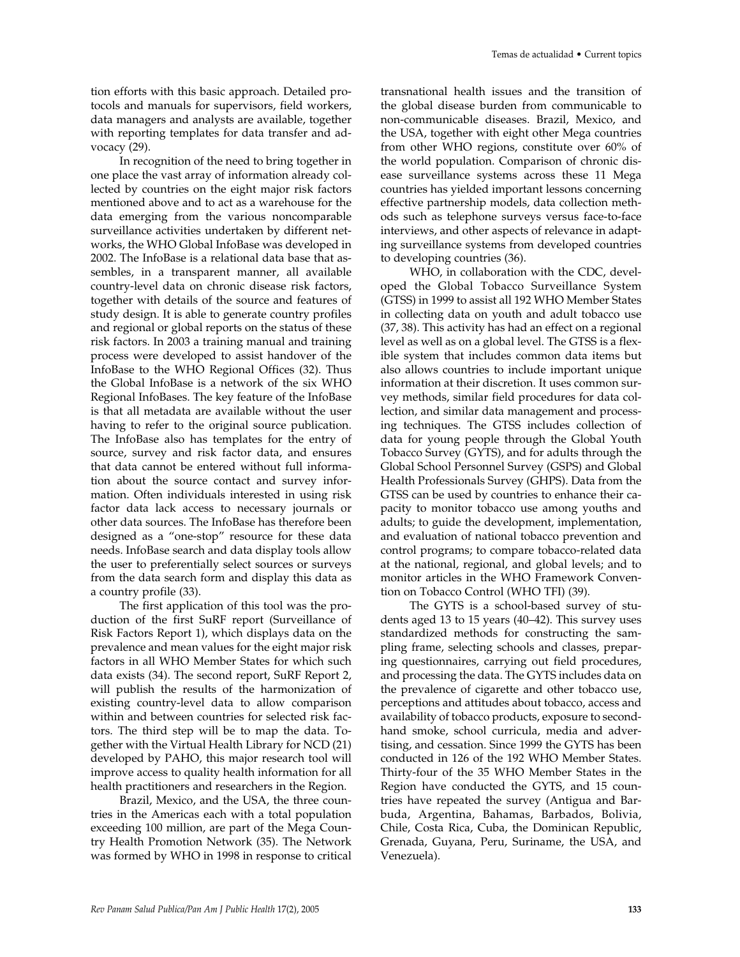tion efforts with this basic approach. Detailed protocols and manuals for supervisors, field workers, data managers and analysts are available, together with reporting templates for data transfer and advocacy (29).

In recognition of the need to bring together in one place the vast array of information already collected by countries on the eight major risk factors mentioned above and to act as a warehouse for the data emerging from the various noncomparable surveillance activities undertaken by different networks, the WHO Global InfoBase was developed in 2002. The InfoBase is a relational data base that assembles, in a transparent manner, all available country-level data on chronic disease risk factors, together with details of the source and features of study design. It is able to generate country profiles and regional or global reports on the status of these risk factors. In 2003 a training manual and training process were developed to assist handover of the InfoBase to the WHO Regional Offices (32). Thus the Global InfoBase is a network of the six WHO Regional InfoBases. The key feature of the InfoBase is that all metadata are available without the user having to refer to the original source publication. The InfoBase also has templates for the entry of source, survey and risk factor data, and ensures that data cannot be entered without full information about the source contact and survey information. Often individuals interested in using risk factor data lack access to necessary journals or other data sources. The InfoBase has therefore been designed as a "one-stop" resource for these data needs. InfoBase search and data display tools allow the user to preferentially select sources or surveys from the data search form and display this data as a country profile (33).

The first application of this tool was the production of the first SuRF report (Surveillance of Risk Factors Report 1), which displays data on the prevalence and mean values for the eight major risk factors in all WHO Member States for which such data exists (34). The second report, SuRF Report 2, will publish the results of the harmonization of existing country-level data to allow comparison within and between countries for selected risk factors. The third step will be to map the data. Together with the Virtual Health Library for NCD (21) developed by PAHO, this major research tool will improve access to quality health information for all health practitioners and researchers in the Region.

Brazil, Mexico, and the USA, the three countries in the Americas each with a total population exceeding 100 million, are part of the Mega Country Health Promotion Network (35). The Network was formed by WHO in 1998 in response to critical transnational health issues and the transition of the global disease burden from communicable to non-communicable diseases. Brazil, Mexico, and the USA, together with eight other Mega countries from other WHO regions, constitute over 60% of the world population. Comparison of chronic disease surveillance systems across these 11 Mega countries has yielded important lessons concerning effective partnership models, data collection methods such as telephone surveys versus face-to-face interviews, and other aspects of relevance in adapting surveillance systems from developed countries to developing countries (36).

WHO, in collaboration with the CDC, developed the Global Tobacco Surveillance System (GTSS) in 1999 to assist all 192 WHO Member States in collecting data on youth and adult tobacco use (37, 38). This activity has had an effect on a regional level as well as on a global level. The GTSS is a flexible system that includes common data items but also allows countries to include important unique information at their discretion. It uses common survey methods, similar field procedures for data collection, and similar data management and processing techniques. The GTSS includes collection of data for young people through the Global Youth Tobacco Survey (GYTS), and for adults through the Global School Personnel Survey (GSPS) and Global Health Professionals Survey (GHPS). Data from the GTSS can be used by countries to enhance their capacity to monitor tobacco use among youths and adults; to guide the development, implementation, and evaluation of national tobacco prevention and control programs; to compare tobacco-related data at the national, regional, and global levels; and to monitor articles in the WHO Framework Convention on Tobacco Control (WHO TFI) (39).

The GYTS is a school-based survey of students aged 13 to 15 years (40–42). This survey uses standardized methods for constructing the sampling frame, selecting schools and classes, preparing questionnaires, carrying out field procedures, and processing the data. The GYTS includes data on the prevalence of cigarette and other tobacco use, perceptions and attitudes about tobacco, access and availability of tobacco products, exposure to secondhand smoke, school curricula, media and advertising, and cessation. Since 1999 the GYTS has been conducted in 126 of the 192 WHO Member States. Thirty-four of the 35 WHO Member States in the Region have conducted the GYTS, and 15 countries have repeated the survey (Antigua and Barbuda, Argentina, Bahamas, Barbados, Bolivia, Chile, Costa Rica, Cuba, the Dominican Republic, Grenada, Guyana, Peru, Suriname, the USA, and Venezuela).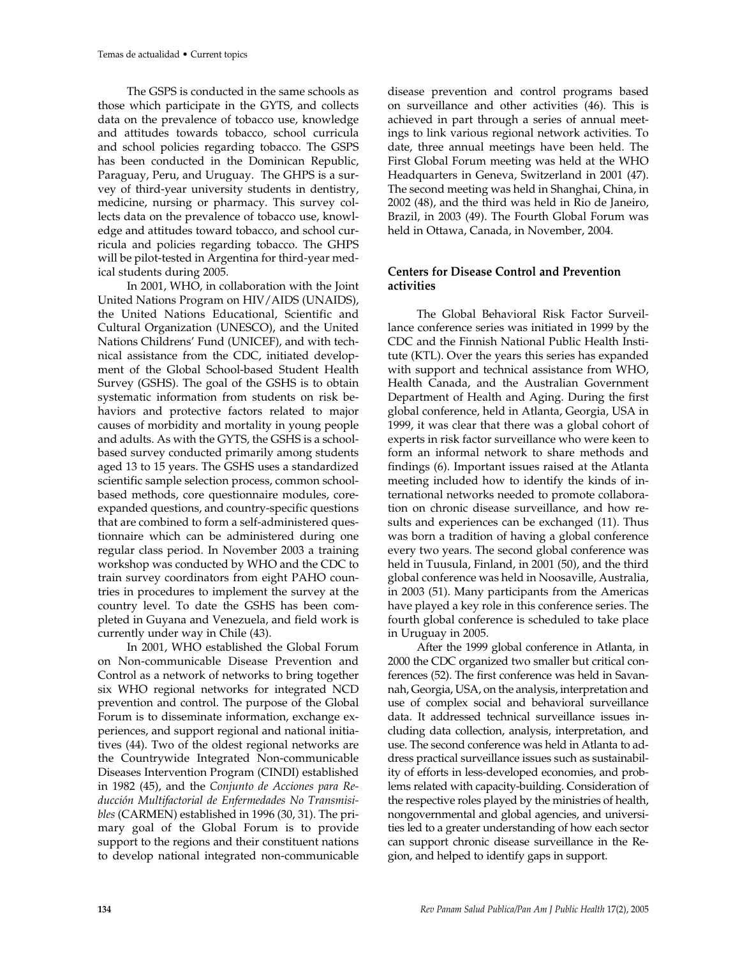The GSPS is conducted in the same schools as those which participate in the GYTS, and collects data on the prevalence of tobacco use, knowledge and attitudes towards tobacco, school curricula and school policies regarding tobacco. The GSPS has been conducted in the Dominican Republic, Paraguay, Peru, and Uruguay. The GHPS is a survey of third-year university students in dentistry, medicine, nursing or pharmacy. This survey collects data on the prevalence of tobacco use, knowledge and attitudes toward tobacco, and school curricula and policies regarding tobacco. The GHPS will be pilot-tested in Argentina for third-year medical students during 2005.

In 2001, WHO, in collaboration with the Joint United Nations Program on HIV/AIDS (UNAIDS), the United Nations Educational, Scientific and Cultural Organization (UNESCO), and the United Nations Childrens' Fund (UNICEF), and with technical assistance from the CDC, initiated development of the Global School-based Student Health Survey (GSHS). The goal of the GSHS is to obtain systematic information from students on risk behaviors and protective factors related to major causes of morbidity and mortality in young people and adults. As with the GYTS, the GSHS is a schoolbased survey conducted primarily among students aged 13 to 15 years. The GSHS uses a standardized scientific sample selection process, common schoolbased methods, core questionnaire modules, coreexpanded questions, and country-specific questions that are combined to form a self-administered questionnaire which can be administered during one regular class period. In November 2003 a training workshop was conducted by WHO and the CDC to train survey coordinators from eight PAHO countries in procedures to implement the survey at the country level. To date the GSHS has been completed in Guyana and Venezuela, and field work is currently under way in Chile (43).

In 2001, WHO established the Global Forum on Non-communicable Disease Prevention and Control as a network of networks to bring together six WHO regional networks for integrated NCD prevention and control. The purpose of the Global Forum is to disseminate information, exchange experiences, and support regional and national initiatives (44). Two of the oldest regional networks are the Countrywide Integrated Non-communicable Diseases Intervention Program (CINDI) established in 1982 (45), and the *Conjunto de Acciones para Reducción Multifactorial de Enfermedades No Transmisibles* (CARMEN) established in 1996 (30, 31). The primary goal of the Global Forum is to provide support to the regions and their constituent nations to develop national integrated non-communicable

disease prevention and control programs based on surveillance and other activities (46). This is achieved in part through a series of annual meetings to link various regional network activities. To date, three annual meetings have been held. The First Global Forum meeting was held at the WHO Headquarters in Geneva, Switzerland in 2001 (47). The second meeting was held in Shanghai, China, in 2002 (48), and the third was held in Rio de Janeiro, Brazil, in 2003 (49). The Fourth Global Forum was held in Ottawa, Canada, in November, 2004.

## **Centers for Disease Control and Prevention activities**

The Global Behavioral Risk Factor Surveillance conference series was initiated in 1999 by the CDC and the Finnish National Public Health Institute (KTL). Over the years this series has expanded with support and technical assistance from WHO, Health Canada, and the Australian Government Department of Health and Aging. During the first global conference, held in Atlanta, Georgia, USA in 1999, it was clear that there was a global cohort of experts in risk factor surveillance who were keen to form an informal network to share methods and findings (6). Important issues raised at the Atlanta meeting included how to identify the kinds of international networks needed to promote collaboration on chronic disease surveillance, and how results and experiences can be exchanged (11). Thus was born a tradition of having a global conference every two years. The second global conference was held in Tuusula, Finland, in 2001 (50), and the third global conference was held in Noosaville, Australia, in 2003 (51). Many participants from the Americas have played a key role in this conference series. The fourth global conference is scheduled to take place in Uruguay in 2005.

After the 1999 global conference in Atlanta, in 2000 the CDC organized two smaller but critical conferences (52). The first conference was held in Savannah, Georgia, USA, on the analysis, interpretation and use of complex social and behavioral surveillance data. It addressed technical surveillance issues including data collection, analysis, interpretation, and use. The second conference was held in Atlanta to address practical surveillance issues such as sustainability of efforts in less-developed economies, and problems related with capacity-building. Consideration of the respective roles played by the ministries of health, nongovernmental and global agencies, and universities led to a greater understanding of how each sector can support chronic disease surveillance in the Region, and helped to identify gaps in support.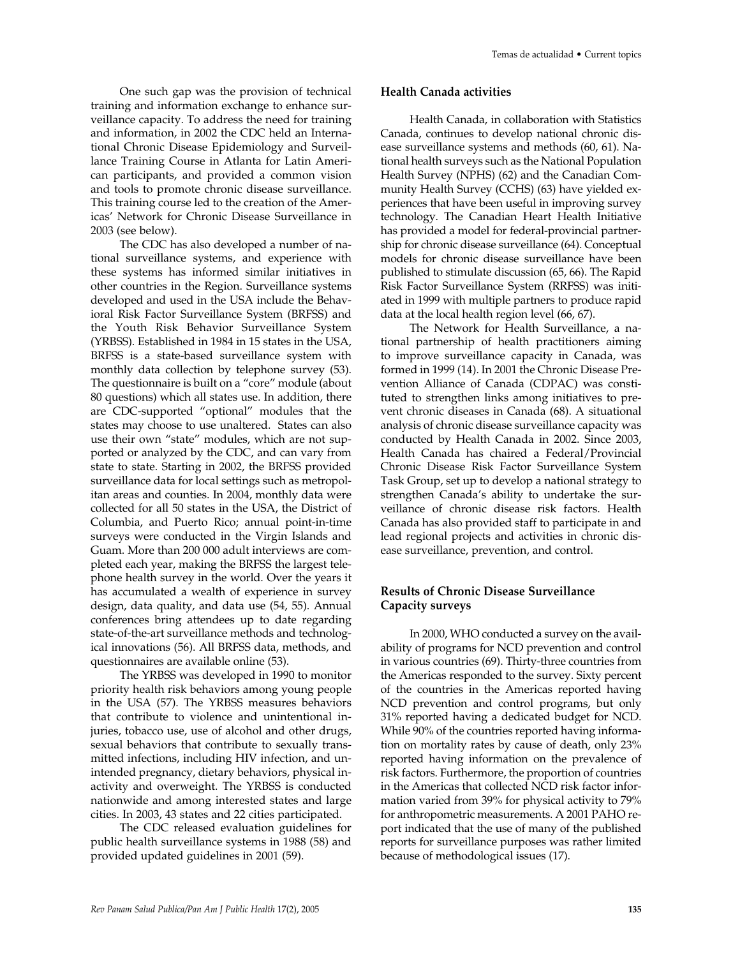One such gap was the provision of technical training and information exchange to enhance surveillance capacity. To address the need for training and information, in 2002 the CDC held an International Chronic Disease Epidemiology and Surveillance Training Course in Atlanta for Latin American participants, and provided a common vision and tools to promote chronic disease surveillance. This training course led to the creation of the Americas' Network for Chronic Disease Surveillance in 2003 (see below).

The CDC has also developed a number of national surveillance systems, and experience with these systems has informed similar initiatives in other countries in the Region. Surveillance systems developed and used in the USA include the Behavioral Risk Factor Surveillance System (BRFSS) and the Youth Risk Behavior Surveillance System (YRBSS). Established in 1984 in 15 states in the USA, BRFSS is a state-based surveillance system with monthly data collection by telephone survey (53). The questionnaire is built on a "core" module (about 80 questions) which all states use. In addition, there are CDC-supported "optional" modules that the states may choose to use unaltered. States can also use their own "state" modules, which are not supported or analyzed by the CDC, and can vary from state to state. Starting in 2002, the BRFSS provided surveillance data for local settings such as metropolitan areas and counties. In 2004, monthly data were collected for all 50 states in the USA, the District of Columbia, and Puerto Rico; annual point-in-time surveys were conducted in the Virgin Islands and Guam. More than 200 000 adult interviews are completed each year, making the BRFSS the largest telephone health survey in the world. Over the years it has accumulated a wealth of experience in survey design, data quality, and data use (54, 55). Annual conferences bring attendees up to date regarding state-of-the-art surveillance methods and technological innovations (56). All BRFSS data, methods, and questionnaires are available online (53).

The YRBSS was developed in 1990 to monitor priority health risk behaviors among young people in the USA (57). The YRBSS measures behaviors that contribute to violence and unintentional injuries, tobacco use, use of alcohol and other drugs, sexual behaviors that contribute to sexually transmitted infections, including HIV infection, and unintended pregnancy, dietary behaviors, physical inactivity and overweight. The YRBSS is conducted nationwide and among interested states and large cities. In 2003, 43 states and 22 cities participated.

The CDC released evaluation guidelines for public health surveillance systems in 1988 (58) and provided updated guidelines in 2001 (59).

#### **Health Canada activities**

Health Canada, in collaboration with Statistics Canada, continues to develop national chronic disease surveillance systems and methods (60, 61). National health surveys such as the National Population Health Survey (NPHS) (62) and the Canadian Community Health Survey (CCHS) (63) have yielded experiences that have been useful in improving survey technology. The Canadian Heart Health Initiative has provided a model for federal-provincial partnership for chronic disease surveillance (64). Conceptual models for chronic disease surveillance have been published to stimulate discussion (65, 66). The Rapid Risk Factor Surveillance System (RRFSS) was initiated in 1999 with multiple partners to produce rapid data at the local health region level (66, 67).

The Network for Health Surveillance, a national partnership of health practitioners aiming to improve surveillance capacity in Canada, was formed in 1999 (14). In 2001 the Chronic Disease Prevention Alliance of Canada (CDPAC) was constituted to strengthen links among initiatives to prevent chronic diseases in Canada (68). A situational analysis of chronic disease surveillance capacity was conducted by Health Canada in 2002. Since 2003, Health Canada has chaired a Federal/Provincial Chronic Disease Risk Factor Surveillance System Task Group, set up to develop a national strategy to strengthen Canada's ability to undertake the surveillance of chronic disease risk factors. Health Canada has also provided staff to participate in and lead regional projects and activities in chronic disease surveillance, prevention, and control.

## **Results of Chronic Disease Surveillance Capacity surveys**

In 2000, WHO conducted a survey on the availability of programs for NCD prevention and control in various countries (69). Thirty-three countries from the Americas responded to the survey. Sixty percent of the countries in the Americas reported having NCD prevention and control programs, but only 31% reported having a dedicated budget for NCD. While 90% of the countries reported having information on mortality rates by cause of death, only 23% reported having information on the prevalence of risk factors. Furthermore, the proportion of countries in the Americas that collected NCD risk factor information varied from 39% for physical activity to 79% for anthropometric measurements. A 2001 PAHO report indicated that the use of many of the published reports for surveillance purposes was rather limited because of methodological issues (17).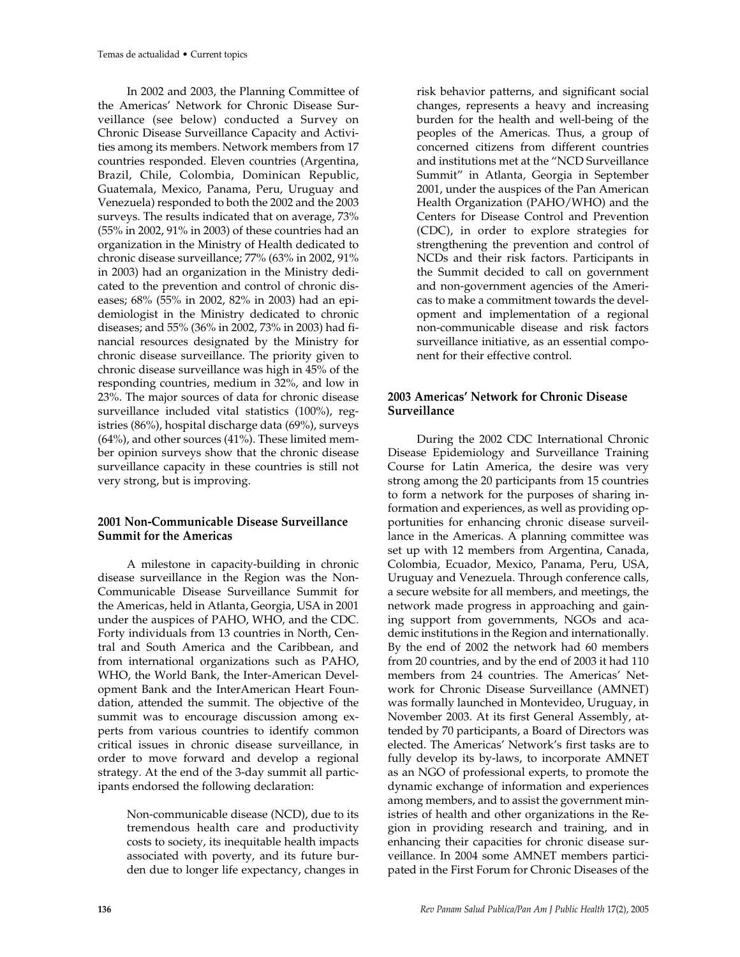In 2002 and 2003, the Planning Committee of the Americas' Network for Chronic Disease Surveillance (see below) conducted a Survey on Chronic Disease Surveillance Capacity and Activities among its members. Network members from 17 countries responded. Eleven countries (Argentina, Brazil, Chile, Colombia, Dominican Republic, Guatemala, Mexico, Panama, Peru, Uruguay and Venezuela) responded to both the 2002 and the 2003 surveys. The results indicated that on average, 73% (55% in 2002, 91% in 2003) of these countries had an organization in the Ministry of Health dedicated to chronic disease surveillance; 77% (63% in 2002, 91% in 2003) had an organization in the Ministry dedicated to the prevention and control of chronic diseases; 68% (55% in 2002, 82% in 2003) had an epidemiologist in the Ministry dedicated to chronic diseases; and 55% (36% in 2002, 73% in 2003) had financial resources designated by the Ministry for chronic disease surveillance. The priority given to chronic disease surveillance was high in 45% of the responding countries, medium in 32%, and low in 23%. The major sources of data for chronic disease surveillance included vital statistics (100%), registries (86%), hospital discharge data (69%), surveys (64%), and other sources (41%). These limited member opinion surveys show that the chronic disease surveillance capacity in these countries is still not very strong, but is improving.

## **2001 Non-Communicable Disease Surveillance Summit for the Americas**

A milestone in capacity-building in chronic disease surveillance in the Region was the Non-Communicable Disease Surveillance Summit for the Americas, held in Atlanta, Georgia, USA in 2001 under the auspices of PAHO, WHO, and the CDC. Forty individuals from 13 countries in North, Central and South America and the Caribbean, and from international organizations such as PAHO, WHO, the World Bank, the Inter-American Development Bank and the InterAmerican Heart Foundation, attended the summit. The objective of the summit was to encourage discussion among experts from various countries to identify common critical issues in chronic disease surveillance, in order to move forward and develop a regional strategy. At the end of the 3-day summit all participants endorsed the following declaration:

> Non-communicable disease (NCD), due to its tremendous health care and productivity costs to society, its inequitable health impacts associated with poverty, and its future burden due to longer life expectancy, changes in

risk behavior patterns, and significant social changes, represents a heavy and increasing burden for the health and well-being of the peoples of the Americas. Thus, a group of concerned citizens from different countries and institutions met at the "NCD Surveillance Summit" in Atlanta, Georgia in September 2001, under the auspices of the Pan American Health Organization (PAHO/WHO) and the Centers for Disease Control and Prevention (CDC), in order to explore strategies for strengthening the prevention and control of NCDs and their risk factors. Participants in the Summit decided to call on government and non-government agencies of the Americas to make a commitment towards the development and implementation of a regional non-communicable disease and risk factors surveillance initiative, as an essential component for their effective control.

## **2003 Americas' Network for Chronic Disease Surveillance**

During the 2002 CDC International Chronic Disease Epidemiology and Surveillance Training Course for Latin America, the desire was very strong among the 20 participants from 15 countries to form a network for the purposes of sharing information and experiences, as well as providing opportunities for enhancing chronic disease surveillance in the Americas. A planning committee was set up with 12 members from Argentina, Canada, Colombia, Ecuador, Mexico, Panama, Peru, USA, Uruguay and Venezuela. Through conference calls, a secure website for all members, and meetings, the network made progress in approaching and gaining support from governments, NGOs and academic institutions in the Region and internationally. By the end of 2002 the network had 60 members from 20 countries, and by the end of 2003 it had 110 members from 24 countries. The Americas' Network for Chronic Disease Surveillance (AMNET) was formally launched in Montevideo, Uruguay, in November 2003. At its first General Assembly, attended by 70 participants, a Board of Directors was elected. The Americas' Network's first tasks are to fully develop its by-laws, to incorporate AMNET as an NGO of professional experts, to promote the dynamic exchange of information and experiences among members, and to assist the government ministries of health and other organizations in the Region in providing research and training, and in enhancing their capacities for chronic disease surveillance. In 2004 some AMNET members participated in the First Forum for Chronic Diseases of the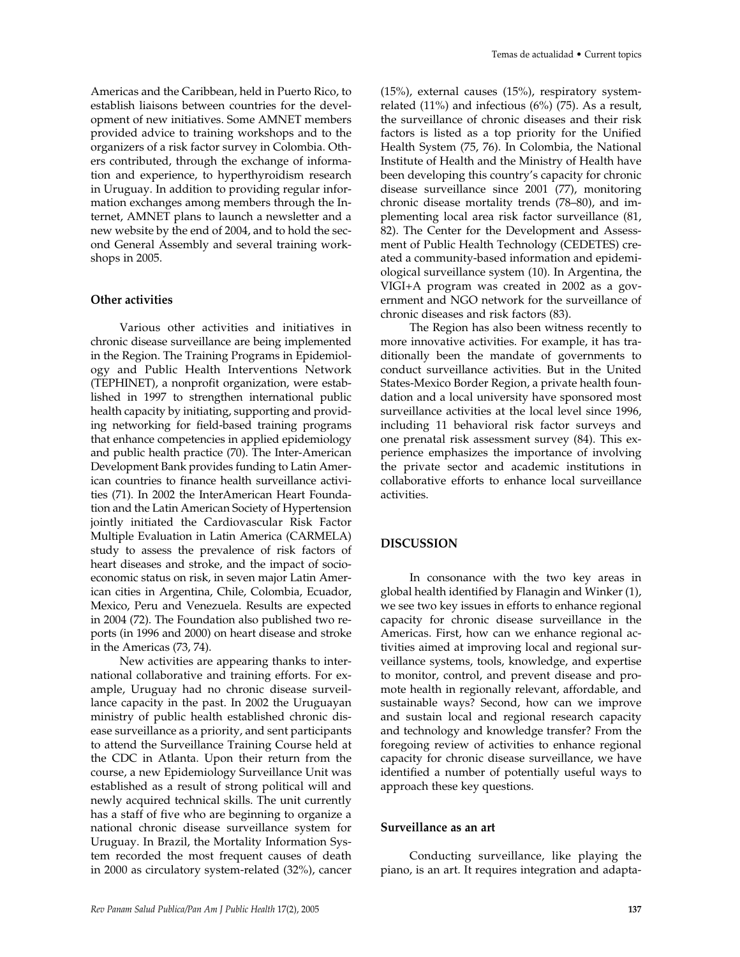Americas and the Caribbean, held in Puerto Rico, to establish liaisons between countries for the development of new initiatives. Some AMNET members provided advice to training workshops and to the organizers of a risk factor survey in Colombia. Others contributed, through the exchange of information and experience, to hyperthyroidism research in Uruguay. In addition to providing regular information exchanges among members through the Internet, AMNET plans to launch a newsletter and a new website by the end of 2004, and to hold the second General Assembly and several training workshops in 2005.

#### **Other activities**

Various other activities and initiatives in chronic disease surveillance are being implemented in the Region. The Training Programs in Epidemiology and Public Health Interventions Network (TEPHINET), a nonprofit organization, were established in 1997 to strengthen international public health capacity by initiating, supporting and providing networking for field-based training programs that enhance competencies in applied epidemiology and public health practice (70). The Inter-American Development Bank provides funding to Latin American countries to finance health surveillance activities (71). In 2002 the InterAmerican Heart Foundation and the Latin American Society of Hypertension jointly initiated the Cardiovascular Risk Factor Multiple Evaluation in Latin America (CARMELA) study to assess the prevalence of risk factors of heart diseases and stroke, and the impact of socioeconomic status on risk, in seven major Latin American cities in Argentina, Chile, Colombia, Ecuador, Mexico, Peru and Venezuela. Results are expected in 2004 (72). The Foundation also published two reports (in 1996 and 2000) on heart disease and stroke in the Americas (73, 74).

New activities are appearing thanks to international collaborative and training efforts. For example, Uruguay had no chronic disease surveillance capacity in the past. In 2002 the Uruguayan ministry of public health established chronic disease surveillance as a priority, and sent participants to attend the Surveillance Training Course held at the CDC in Atlanta. Upon their return from the course, a new Epidemiology Surveillance Unit was established as a result of strong political will and newly acquired technical skills. The unit currently has a staff of five who are beginning to organize a national chronic disease surveillance system for Uruguay. In Brazil, the Mortality Information System recorded the most frequent causes of death in 2000 as circulatory system-related (32%), cancer

(15%), external causes (15%), respiratory systemrelated (11%) and infectious (6%) (75). As a result, the surveillance of chronic diseases and their risk factors is listed as a top priority for the Unified Health System (75, 76). In Colombia, the National Institute of Health and the Ministry of Health have been developing this country's capacity for chronic disease surveillance since 2001 (77), monitoring chronic disease mortality trends (78–80), and implementing local area risk factor surveillance (81, 82). The Center for the Development and Assessment of Public Health Technology (CEDETES) created a community-based information and epidemiological surveillance system (10). In Argentina, the VIGI+A program was created in 2002 as a government and NGO network for the surveillance of chronic diseases and risk factors (83).

The Region has also been witness recently to more innovative activities. For example, it has traditionally been the mandate of governments to conduct surveillance activities. But in the United States-Mexico Border Region, a private health foundation and a local university have sponsored most surveillance activities at the local level since 1996, including 11 behavioral risk factor surveys and one prenatal risk assessment survey (84). This experience emphasizes the importance of involving the private sector and academic institutions in collaborative efforts to enhance local surveillance activities.

#### **DISCUSSION**

In consonance with the two key areas in global health identified by Flanagin and Winker (1), we see two key issues in efforts to enhance regional capacity for chronic disease surveillance in the Americas. First, how can we enhance regional activities aimed at improving local and regional surveillance systems, tools, knowledge, and expertise to monitor, control, and prevent disease and promote health in regionally relevant, affordable, and sustainable ways? Second, how can we improve and sustain local and regional research capacity and technology and knowledge transfer? From the foregoing review of activities to enhance regional capacity for chronic disease surveillance, we have identified a number of potentially useful ways to approach these key questions.

#### **Surveillance as an art**

Conducting surveillance, like playing the piano, is an art. It requires integration and adapta-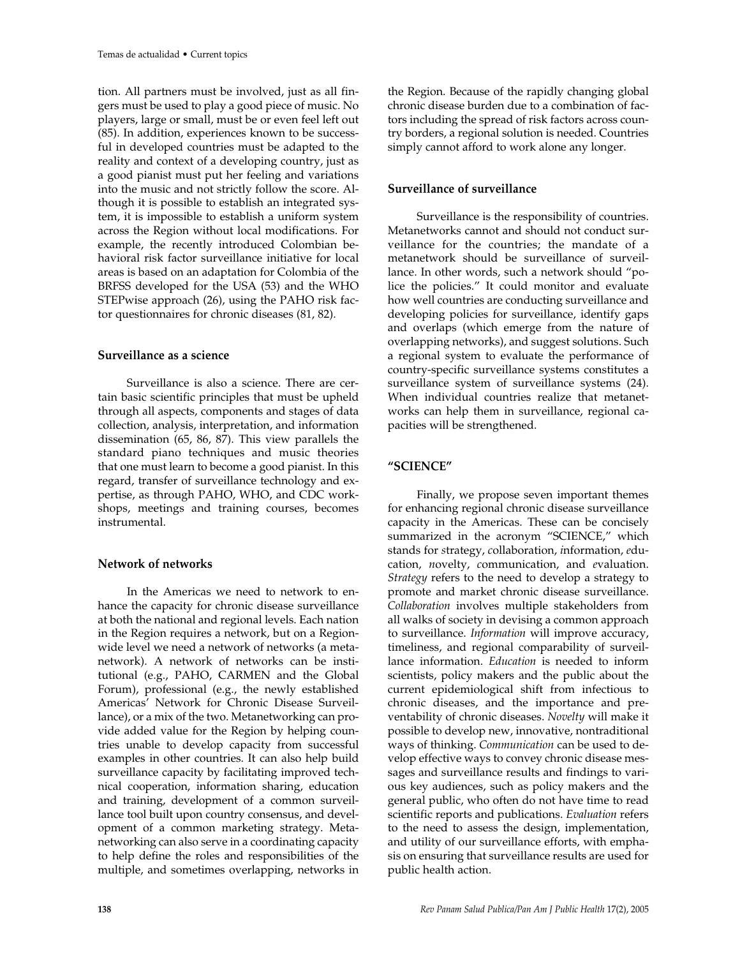tion. All partners must be involved, just as all fingers must be used to play a good piece of music. No players, large or small, must be or even feel left out (85). In addition, experiences known to be successful in developed countries must be adapted to the reality and context of a developing country, just as a good pianist must put her feeling and variations into the music and not strictly follow the score. Although it is possible to establish an integrated system, it is impossible to establish a uniform system across the Region without local modifications. For example, the recently introduced Colombian behavioral risk factor surveillance initiative for local areas is based on an adaptation for Colombia of the BRFSS developed for the USA (53) and the WHO STEPwise approach (26), using the PAHO risk factor questionnaires for chronic diseases (81, 82).

### **Surveillance as a science**

Surveillance is also a science. There are certain basic scientific principles that must be upheld through all aspects, components and stages of data collection, analysis, interpretation, and information dissemination (65, 86, 87). This view parallels the standard piano techniques and music theories that one must learn to become a good pianist. In this regard, transfer of surveillance technology and expertise, as through PAHO, WHO, and CDC workshops, meetings and training courses, becomes instrumental.

#### **Network of networks**

In the Americas we need to network to enhance the capacity for chronic disease surveillance at both the national and regional levels. Each nation in the Region requires a network, but on a Regionwide level we need a network of networks (a metanetwork). A network of networks can be institutional (e.g., PAHO, CARMEN and the Global Forum), professional (e.g., the newly established Americas' Network for Chronic Disease Surveillance), or a mix of the two. Metanetworking can provide added value for the Region by helping countries unable to develop capacity from successful examples in other countries. It can also help build surveillance capacity by facilitating improved technical cooperation, information sharing, education and training, development of a common surveillance tool built upon country consensus, and development of a common marketing strategy. Metanetworking can also serve in a coordinating capacity to help define the roles and responsibilities of the multiple, and sometimes overlapping, networks in

the Region. Because of the rapidly changing global chronic disease burden due to a combination of factors including the spread of risk factors across country borders, a regional solution is needed. Countries simply cannot afford to work alone any longer.

## **Surveillance of surveillance**

Surveillance is the responsibility of countries. Metanetworks cannot and should not conduct surveillance for the countries; the mandate of a metanetwork should be surveillance of surveillance. In other words, such a network should "police the policies." It could monitor and evaluate how well countries are conducting surveillance and developing policies for surveillance, identify gaps and overlaps (which emerge from the nature of overlapping networks), and suggest solutions. Such a regional system to evaluate the performance of country-specific surveillance systems constitutes a surveillance system of surveillance systems (24). When individual countries realize that metanetworks can help them in surveillance, regional capacities will be strengthened.

## **"SCIENCE"**

Finally, we propose seven important themes for enhancing regional chronic disease surveillance capacity in the Americas. These can be concisely summarized in the acronym "SCIENCE," which stands for *s*trategy, *c*ollaboration, *i*nformation, *e*ducation, *n*ovelty, *c*ommunication, and *e*valuation. *Strategy* refers to the need to develop a strategy to promote and market chronic disease surveillance. *Collaboration* involves multiple stakeholders from all walks of society in devising a common approach to surveillance. *Information* will improve accuracy, timeliness, and regional comparability of surveillance information. *Education* is needed to inform scientists, policy makers and the public about the current epidemiological shift from infectious to chronic diseases, and the importance and preventability of chronic diseases. *Novelty* will make it possible to develop new, innovative, nontraditional ways of thinking. *Communication* can be used to develop effective ways to convey chronic disease messages and surveillance results and findings to various key audiences, such as policy makers and the general public, who often do not have time to read scientific reports and publications. *Evaluation* refers to the need to assess the design, implementation, and utility of our surveillance efforts, with emphasis on ensuring that surveillance results are used for public health action.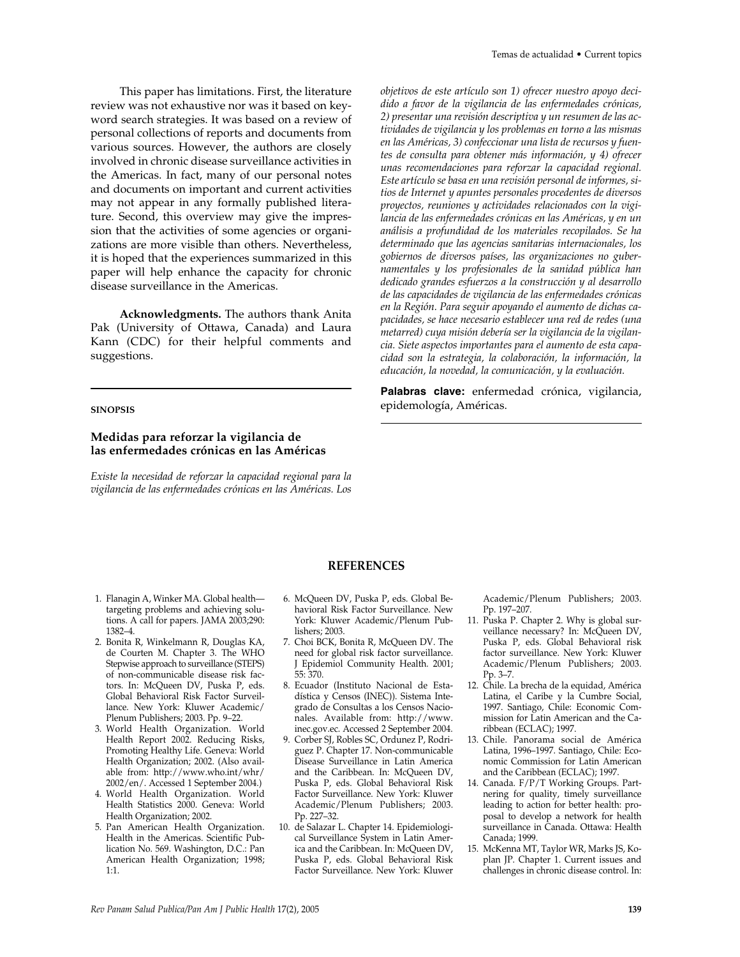This paper has limitations. First, the literature review was not exhaustive nor was it based on keyword search strategies. It was based on a review of personal collections of reports and documents from various sources. However, the authors are closely involved in chronic disease surveillance activities in the Americas. In fact, many of our personal notes and documents on important and current activities may not appear in any formally published literature. Second, this overview may give the impression that the activities of some agencies or organizations are more visible than others. Nevertheless, it is hoped that the experiences summarized in this paper will help enhance the capacity for chronic disease surveillance in the Americas.

**Acknowledgments.** The authors thank Anita Pak (University of Ottawa, Canada) and Laura Kann (CDC) for their helpful comments and suggestions.

#### **SINOPSIS**

#### **Medidas para reforzar la vigilancia de las enfermedades crónicas en las Américas**

*Existe la necesidad de reforzar la capacidad regional para la vigilancia de las enfermedades crónicas en las Américas. Los* *objetivos de este artículo son 1) ofrecer nuestro apoyo decidido a favor de la vigilancia de las enfermedades crónicas, 2) presentar una revisión descriptiva y un resumen de las actividades de vigilancia y los problemas en torno a las mismas en las Américas, 3) confeccionar una lista de recursos y fuentes de consulta para obtener más información, y 4) ofrecer unas recomendaciones para reforzar la capacidad regional. Este artículo se basa en una revisión personal de informes, sitios de Internet y apuntes personales procedentes de diversos proyectos, reuniones y actividades relacionados con la vigilancia de las enfermedades crónicas en las Américas, y en un análisis a profundidad de los materiales recopilados. Se ha determinado que las agencias sanitarias internacionales, los gobiernos de diversos países, las organizaciones no gubernamentales y los profesionales de la sanidad pública han dedicado grandes esfuerzos a la construcción y al desarrollo de las capacidades de vigilancia de las enfermedades crónicas en la Región. Para seguir apoyando el aumento de dichas capacidades, se hace necesario establecer una red de redes (una metarred) cuya misión debería ser la vigilancia de la vigilancia. Siete aspectos importantes para el aumento de esta capacidad son la estrategia, la colaboración, la información, la educación, la novedad, la comunicación, y la evaluación.* 

**Palabras clave:** enfermedad crónica, vigilancia, epidemología, Américas.

- 1. Flanagin A, Winker MA. Global health targeting problems and achieving solutions. A call for papers. JAMA 2003;290: 1382–4.
- 2. Bonita R, Winkelmann R, Douglas KA, de Courten M. Chapter 3. The WHO Stepwise approach to surveillance (STEPS) of non-communicable disease risk factors. In: McQueen DV, Puska P, eds. Global Behavioral Risk Factor Surveillance. New York: Kluwer Academic/ Plenum Publishers; 2003. Pp. 9–22.
- 3. World Health Organization. World Health Report 2002. Reducing Risks, Promoting Healthy Life. Geneva: World Health Organization; 2002. (Also available from: http://www.who.int/whr/ 2002/en/. Accessed 1 September 2004.)
- 4. World Health Organization. World Health Statistics 2000. Geneva: World Health Organization; 2002.
- 5. Pan American Health Organization. Health in the Americas. Scientific Publication No. 569. Washington, D.C.: Pan American Health Organization; 1998; 1:1.

6. McQueen DV, Puska P, eds. Global Behavioral Risk Factor Surveillance. New York: Kluwer Academic/Plenum Publishers; 2003.

**REFERENCES**

- 7. Choi BCK, Bonita R, McQueen DV. The need for global risk factor surveillance. J Epidemiol Community Health. 2001; 55: 370.
- 8. Ecuador (Instituto Nacional de Estadística y Censos (INEC)). Sistema Integrado de Consultas a los Censos Nacionales. Available from: http://www. inec.gov.ec. Accessed 2 September 2004.
- 9. Corber SJ, Robles SC, Ordunez P, Rodriguez P. Chapter 17. Non-communicable Disease Surveillance in Latin America and the Caribbean. In: McQueen DV, Puska P, eds. Global Behavioral Risk Factor Surveillance. New York: Kluwer Academic/Plenum Publishers; 2003. Pp. 227–32.
- 10. de Salazar L. Chapter 14. Epidemiological Surveillance System in Latin America and the Caribbean. In: McQueen DV, Puska P, eds. Global Behavioral Risk Factor Surveillance. New York: Kluwer

Academic/Plenum Publishers; 2003. Pp. 197–207.

- 11. Puska P. Chapter 2. Why is global surveillance necessary? In: McQueen DV, Puska P, eds. Global Behavioral risk factor surveillance. New York: Kluwer Academic/Plenum Publishers; 2003. Pp. 3–7.
- 12. Chile. La brecha de la equidad, América Latina, el Caribe y la Cumbre Social, 1997. Santiago, Chile: Economic Commission for Latin American and the Caribbean (ECLAC); 1997.
- 13. Chile. Panorama social de América Latina, 1996–1997. Santiago, Chile: Economic Commission for Latin American and the Caribbean (ECLAC); 1997.
- 14. Canada. F/P/T Working Groups. Partnering for quality, timely surveillance leading to action for better health: proposal to develop a network for health surveillance in Canada. Ottawa: Health Canada; 1999.
- 15. McKenna MT, Taylor WR, Marks JS, Koplan JP. Chapter 1. Current issues and challenges in chronic disease control. In: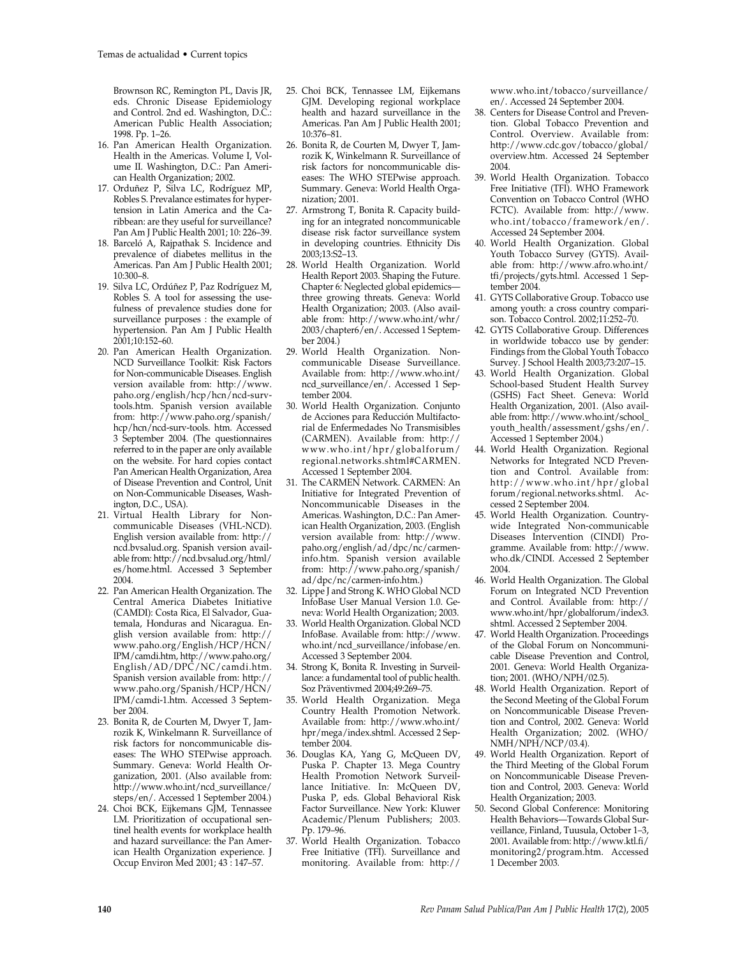Brownson RC, Remington PL, Davis JR, eds. Chronic Disease Epidemiology and Control. 2nd ed. Washington, D.C.: American Public Health Association; 1998. Pp. 1–26.

- 16. Pan American Health Organization. Health in the Americas. Volume I, Volume II. Washington, D.C.: Pan American Health Organization; 2002.
- 17. Orduñez P, Silva LC, Rodríguez MP, Robles S. Prevalance estimates for hypertension in Latin America and the Caribbean: are they useful for surveillance? Pan Am J Public Health 2001; 10: 226–39.
- 18. Barceló A, Rajpathak S. Incidence and prevalence of diabetes mellitus in the Americas. Pan Am J Public Health 2001; 10:300–8.
- 19. Silva LC, Ordúñez P, Paz Rodríguez M, Robles S. A tool for assessing the usefulness of prevalence studies done for surveillance purposes : the example of hypertension. Pan Am J Public Health 2001;10:152–60.
- 20. Pan American Health Organization. NCD Surveillance Toolkit: Risk Factors for Non-communicable Diseases. English version available from: http://www. paho.org/english/hcp/hcn/ncd-survtools.htm. Spanish version available from: http://www.paho.org/spanish/ hcp/hcn/ncd-surv-tools. htm. Accessed 3 September 2004. (The questionnaires referred to in the paper are only available on the website. For hard copies contact Pan American Health Organization, Area of Disease Prevention and Control, Unit on Non-Communicable Diseases, Washington, D.C., USA).
- 21. Virtual Health Library for Noncommunicable Diseases (VHL-NCD). English version available from: http:// ncd.bvsalud.org. Spanish version available from: http://ncd.bvsalud.org/html/ es/home.html. Accessed 3 September 2004.
- 22. Pan American Health Organization. The Central America Diabetes Initiative (CAMDI): Costa Rica, El Salvador, Guatemala, Honduras and Nicaragua. English version available from: http:// www.paho.org/English/HCP/HCN/ IPM/camdi.htm, http://www.paho.org/ English/AD/DPC/NC/camdi.htm. Spanish version available from: http:// www.paho.org/Spanish/HCP/HCN/ IPM/camdi-1.htm. Accessed 3 September 2004.
- 23. Bonita R, de Courten M, Dwyer T, Jamrozik K, Winkelmann R. Surveillance of risk factors for noncommunicable diseases: The WHO STEPwise approach. Summary. Geneva: World Health Organization, 2001. (Also available from: http://www.who.int/ncd\_surveillance/ steps/en/. Accessed 1 September 2004.)
- 24. Choi BCK, Eijkemans GJM, Tennassee LM. Prioritization of occupational sentinel health events for workplace health and hazard surveillance: the Pan American Health Organization experience. J Occup Environ Med 2001; 43 : 147–57.
- 25. Choi BCK, Tennassee LM, Eijkemans GJM. Developing regional workplace health and hazard surveillance in the Americas. Pan Am J Public Health 2001; 10:376–81.
- 26. Bonita R, de Courten M, Dwyer T, Jamrozik K, Winkelmann R. Surveillance of risk factors for noncommunicable diseases: The WHO STEPwise approach. Summary. Geneva: World Health Organization; 2001.
- 27. Armstrong T, Bonita R. Capacity building for an integrated noncommunicable disease risk factor surveillance system in developing countries. Ethnicity Dis 2003;13:S2–13.
- 28. World Health Organization. World Health Report 2003. Shaping the Future. Chapter 6: Neglected global epidemics three growing threats. Geneva: World Health Organization; 2003. (Also available from: http://www.who.int/whr/ 2003/chapter6/en/. Accessed 1 September 2004.)
- 29. World Health Organization. Noncommunicable Disease Surveillance. Available from: http://www.who.int/ ncd\_surveillance/en/. Accessed 1 September 2004.
- 30. World Health Organization. Conjunto de Acciones para Reducción Multifactorial de Enfermedades No Transmisibles (CARMEN). Available from: http:// www.who.int/hpr/globalforum/ regional.networks.shtml#CARMEN. Accessed 1 September 2004.
- 31. The CARMEN Network. CARMEN: An Initiative for Integrated Prevention of Noncommunicable Diseases in the Americas. Washington, D.C.: Pan American Health Organization, 2003. (English version available from: http://www. paho.org/english/ad/dpc/nc/carmeninfo.htm. Spanish version available from: http://www.paho.org/spanish/ ad/dpc/nc/carmen-info.htm.)
- 32. Lippe J and Strong K. WHO Global NCD InfoBase User Manual Version 1.0. Geneva: World Health Organization; 2003.
- 33. World Health Organization. Global NCD InfoBase. Available from: http://www. who.int/ncd\_surveillance/infobase/en. Accessed 3 September 2004.
- 34. Strong K, Bonita R. Investing in Surveillance: a fundamental tool of public health. Soz Präventivmed 2004;49:269–75.
- 35. World Health Organization. Mega Country Health Promotion Network. Available from: http://www.who.int/ hpr/mega/index.shtml. Accessed 2 September 2004.
- 36. Douglas KA, Yang G, McQueen DV, Puska P. Chapter 13. Mega Country Health Promotion Network Surveillance Initiative. In: McQueen DV, Puska P, eds. Global Behavioral Risk Factor Surveillance. New York: Kluwer Academic/Plenum Publishers; 2003. Pp. 179–96.
- 37. World Health Organization. Tobacco Free Initiative (TFI). Surveillance and monitoring. Available from: http://

www.who.int/tobacco/surveillance/ en/. Accessed 24 September 2004.

- 38. Centers for Disease Control and Prevention. Global Tobacco Prevention and Control. Overview. Available from: http://www.cdc.gov/tobacco/global/ overview.htm. Accessed 24 September 2004.
- 39. World Health Organization. Tobacco Free Initiative (TFI). WHO Framework Convention on Tobacco Control (WHO FCTC). Available from: http://www. who.int/tobacco/framework/en/. Accessed 24 September 2004.
- 40. World Health Organization. Global Youth Tobacco Survey (GYTS). Available from: http://www.afro.who.int/ tfi/projects/gyts.html. Accessed 1 September 2004.
- 41. GYTS Collaborative Group. Tobacco use among youth: a cross country comparison. Tobacco Control. 2002;11:252–70.
- 42. GYTS Collaborative Group. Differences in worldwide tobacco use by gender: Findings from the Global Youth Tobacco Survey. J School Health 2003;73:207–15.
- 43. World Health Organization. Global School-based Student Health Survey (GSHS) Fact Sheet. Geneva: World Health Organization, 2001. (Also available from: http://www.who.int/school\_ youth\_health/assessment/gshs/en/. Accessed 1 September 2004.)
- 44. World Health Organization. Regional Networks for Integrated NCD Prevention and Control. Available from: http://www.who.int/hpr/global forum/regional.networks.shtml. Accessed 2 September 2004.
- 45. World Health Organization. Countrywide Integrated Non-communicable Diseases Intervention (CINDI) Programme. Available from: http://www. who.dk/CINDI. Accessed 2 September 2004.
- 46. World Health Organization. The Global Forum on Integrated NCD Prevention and Control. Available from: http:// www.who.int/hpr/globalforum/index3. shtml. Accessed 2 September 2004.
- 47. World Health Organization. Proceedings of the Global Forum on Noncommunicable Disease Prevention and Control, 2001. Geneva: World Health Organization; 2001. (WHO/NPH/02.5).
- 48. World Health Organization. Report of the Second Meeting of the Global Forum on Noncommunicable Disease Prevention and Control, 2002. Geneva: World Health Organization; 2002. (WHO/ NMH/NPH/NCP/03.4).
- 49. World Health Organization. Report of the Third Meeting of the Global Forum on Noncommunicable Disease Prevention and Control, 2003. Geneva: World Health Organization; 2003.
- 50. Second Global Conference: Monitoring Health Behaviors—Towards Global Surveillance, Finland, Tuusula, October 1–3, 2001. Available from: http://www.ktl.fi/ monitoring2/program.htm. Accessed 1 December 2003.